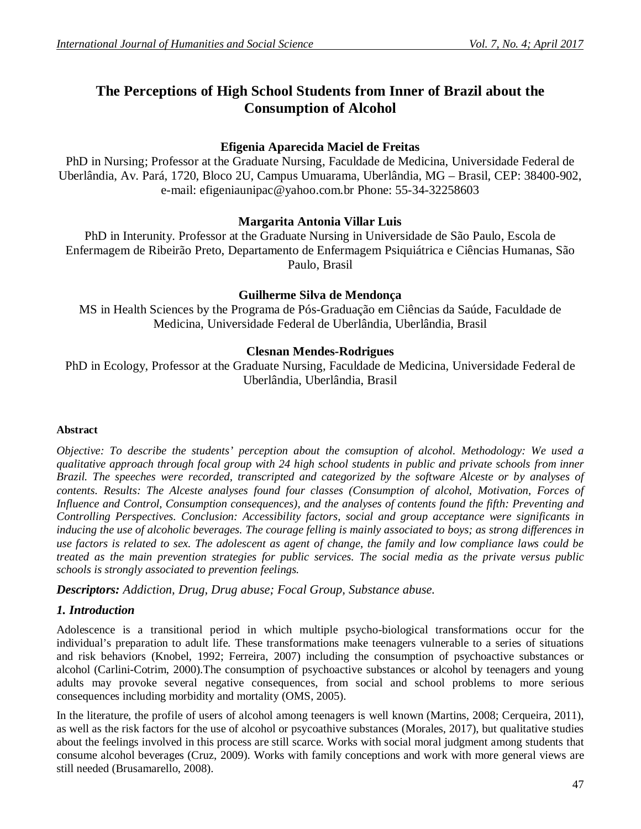# **The Perceptions of High School Students from Inner of Brazil about the Consumption of Alcohol**

# **Efigenia Aparecida Maciel de Freitas**

PhD in Nursing; Professor at the Graduate Nursing, Faculdade de Medicina, Universidade Federal de Uberlândia, Av. Pará, 1720, Bloco 2U, Campus Umuarama, Uberlândia, MG – Brasil, CEP: 38400-902, e-mail: efigeniaunipac@yahoo.com.br Phone: 55-34-32258603

# **Margarita Antonia Villar Luis**

PhD in Interunity. Professor at the Graduate Nursing in Universidade de São Paulo, Escola de Enfermagem de Ribeirão Preto, Departamento de Enfermagem Psiquiátrica e Ciências Humanas, São Paulo, Brasil

# **Guilherme Silva de Mendonça**

MS in Health Sciences by the Programa de Pós-Graduação em Ciências da Saúde, Faculdade de Medicina, Universidade Federal de Uberlândia, Uberlândia, Brasil

# **Clesnan Mendes-Rodrigues**

PhD in Ecology, Professor at the Graduate Nursing, Faculdade de Medicina, Universidade Federal de Uberlândia, Uberlândia, Brasil

# **Abstract**

*Objective: To describe the students' perception about the comsuption of alcohol. Methodology: We used a qualitative approach through focal group with 24 high school students in public and private schools from inner Brazil. The speeches were recorded, transcripted and categorized by the software Alceste or by analyses of contents. Results: The Alceste analyses found four classes (Consumption of alcohol, Motivation, Forces of Influence and Control, Consumption consequences), and the analyses of contents found the fifth: Preventing and Controlling Perspectives. Conclusion: Accessibility factors, social and group acceptance were significants in inducing the use of alcoholic beverages. The courage felling is mainly associated to boys; as strong differences in use factors is related to sex. The adolescent as agent of change, the family and low compliance laws could be treated as the main prevention strategies for public services. The social media as the private versus public schools is strongly associated to prevention feelings.*

*Descriptors: Addiction, Drug, Drug abuse; Focal Group, Substance abuse.*

# *1. Introduction*

Adolescence is a transitional period in which multiple psycho-biological transformations occur for the individual's preparation to adult life. These transformations make teenagers vulnerable to a series of situations and risk behaviors (Knobel, 1992; Ferreira, 2007) including the consumption of psychoactive substances or alcohol (Carlini-Cotrim, 2000).The consumption of psychoactive substances or alcohol by teenagers and young adults may provoke several negative consequences, from social and school problems to more serious consequences including morbidity and mortality (OMS, 2005).

In the literature, the profile of users of alcohol among teenagers is well known (Martins, 2008; Cerqueira, 2011), as well as the risk factors for the use of alcohol or psycoathive substances (Morales, 2017), but qualitative studies about the feelings involved in this process are still scarce. Works with social moral judgment among students that consume alcohol beverages (Cruz, 2009). Works with family conceptions and work with more general views are still needed (Brusamarello, 2008).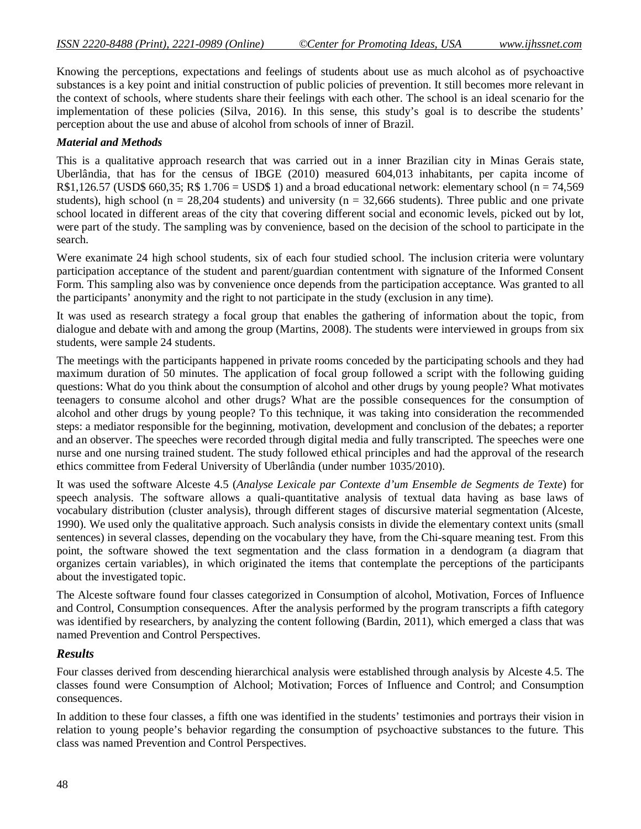Knowing the perceptions, expectations and feelings of students about use as much alcohol as of psychoactive substances is a key point and initial construction of public policies of prevention. It still becomes more relevant in the context of schools, where students share their feelings with each other. The school is an ideal scenario for the implementation of these policies (Silva, 2016). In this sense, this study's goal is to describe the students' perception about the use and abuse of alcohol from schools of inner of Brazil.

#### *Material and Methods*

This is a qualitative approach research that was carried out in a inner Brazilian city in Minas Gerais state, Uberlândia, that has for the census of IBGE (2010) measured 604,013 inhabitants, per capita income of R\$1,126.57 (USD\$ 660,35; R\$ 1.706 = USD\$ 1) and a broad educational network: elementary school (n = 74,569) students), high school ( $n = 28,204$  students) and university ( $n = 32,666$  students). Three public and one private school located in different areas of the city that covering different social and economic levels, picked out by lot, were part of the study. The sampling was by convenience, based on the decision of the school to participate in the search.

Were exanimate 24 high school students, six of each four studied school. The inclusion criteria were voluntary participation acceptance of the student and parent/guardian contentment with signature of the Informed Consent Form. This sampling also was by convenience once depends from the participation acceptance. Was granted to all the participants' anonymity and the right to not participate in the study (exclusion in any time).

It was used as research strategy a focal group that enables the gathering of information about the topic, from dialogue and debate with and among the group (Martins, 2008). The students were interviewed in groups from six students, were sample 24 students.

The meetings with the participants happened in private rooms conceded by the participating schools and they had maximum duration of 50 minutes. The application of focal group followed a script with the following guiding questions: What do you think about the consumption of alcohol and other drugs by young people? What motivates teenagers to consume alcohol and other drugs? What are the possible consequences for the consumption of alcohol and other drugs by young people? To this technique, it was taking into consideration the recommended steps: a mediator responsible for the beginning, motivation, development and conclusion of the debates; a reporter and an observer. The speeches were recorded through digital media and fully transcripted. The speeches were one nurse and one nursing trained student. The study followed ethical principles and had the approval of the research ethics committee from Federal University of Uberlândia (under number 1035/2010).

It was used the software Alceste 4.5 (*Analyse Lexicale par Contexte d'um Ensemble de Segments de Texte*) for speech analysis. The software allows a quali-quantitative analysis of textual data having as base laws of vocabulary distribution (cluster analysis), through different stages of discursive material segmentation (Alceste, 1990). We used only the qualitative approach. Such analysis consists in divide the elementary context units (small sentences) in several classes, depending on the vocabulary they have, from the Chi-square meaning test. From this point, the software showed the text segmentation and the class formation in a dendogram (a diagram that organizes certain variables), in which originated the items that contemplate the perceptions of the participants about the investigated topic.

The Alceste software found four classes categorized in Consumption of alcohol, Motivation, Forces of Influence and Control, Consumption consequences. After the analysis performed by the program transcripts a fifth category was identified by researchers, by analyzing the content following (Bardin, 2011), which emerged a class that was named Prevention and Control Perspectives.

### *Results*

Four classes derived from descending hierarchical analysis were established through analysis by Alceste 4.5. The classes found were Consumption of Alchool; Motivation; Forces of Influence and Control; and Consumption consequences.

In addition to these four classes, a fifth one was identified in the students' testimonies and portrays their vision in relation to young people's behavior regarding the consumption of psychoactive substances to the future. This class was named Prevention and Control Perspectives.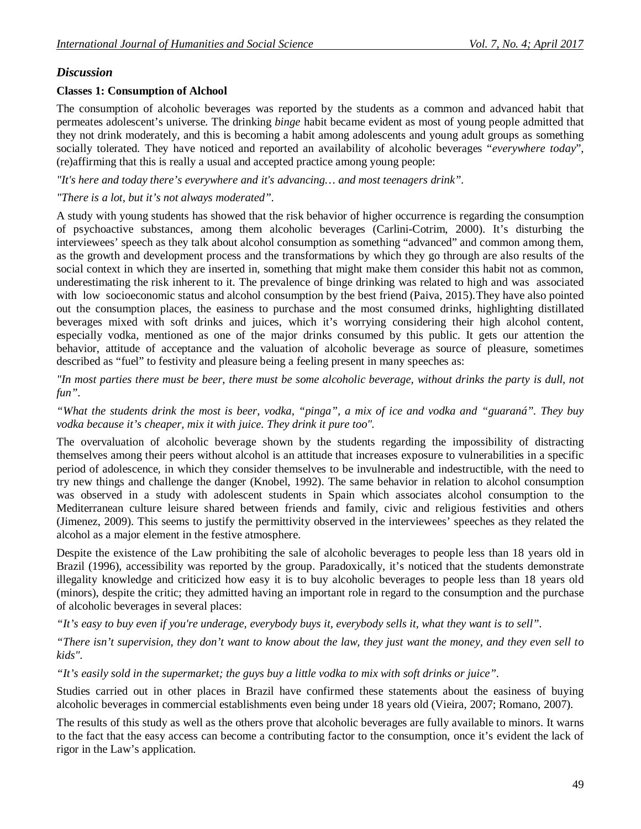# *Discussion*

#### **Classes 1: Consumption of Alchool**

The consumption of alcoholic beverages was reported by the students as a common and advanced habit that permeates adolescent's universe. The drinking *binge* habit became evident as most of young people admitted that they not drink moderately, and this is becoming a habit among adolescents and young adult groups as something socially tolerated. They have noticed and reported an availability of alcoholic beverages "*everywhere today*", (re)affirming that this is really a usual and accepted practice among young people:

*"It's here and today there's everywhere and it's advancing… and most teenagers drink".* 

#### *"There is a lot, but it's not always moderated".*

A study with young students has showed that the risk behavior of higher occurrence is regarding the consumption of psychoactive substances, among them alcoholic beverages (Carlini-Cotrim, 2000). It's disturbing the interviewees' speech as they talk about alcohol consumption as something "advanced" and common among them, as the growth and development process and the transformations by which they go through are also results of the social context in which they are inserted in, something that might make them consider this habit not as common, underestimating the risk inherent to it. The prevalence of binge drinking was related to high and was associated with low socioeconomic status and alcohol consumption by the best friend (Paiva, 2015). They have also pointed out the consumption places, the easiness to purchase and the most consumed drinks, highlighting distillated beverages mixed with soft drinks and juices, which it's worrying considering their high alcohol content, especially vodka, mentioned as one of the major drinks consumed by this public. It gets our attention the behavior, attitude of acceptance and the valuation of alcoholic beverage as source of pleasure, sometimes described as "fuel" to festivity and pleasure being a feeling present in many speeches as:

*"In most parties there must be beer, there must be some alcoholic beverage, without drinks the party is dull, not fun".*

*"What the students drink the most is beer, vodka, "pinga", a mix of ice and vodka and "guaraná". They buy vodka because it's cheaper, mix it with juice. They drink it pure too".*

The overvaluation of alcoholic beverage shown by the students regarding the impossibility of distracting themselves among their peers without alcohol is an attitude that increases exposure to vulnerabilities in a specific period of adolescence, in which they consider themselves to be invulnerable and indestructible, with the need to try new things and challenge the danger (Knobel, 1992). The same behavior in relation to alcohol consumption was observed in a study with adolescent students in Spain which associates alcohol consumption to the Mediterranean culture leisure shared between friends and family, civic and religious festivities and others (Jimenez, 2009). This seems to justify the permittivity observed in the interviewees' speeches as they related the alcohol as a major element in the festive atmosphere.

Despite the existence of the Law prohibiting the sale of alcoholic beverages to people less than 18 years old in Brazil (1996), accessibility was reported by the group. Paradoxically, it's noticed that the students demonstrate illegality knowledge and criticized how easy it is to buy alcoholic beverages to people less than 18 years old (minors), despite the critic; they admitted having an important role in regard to the consumption and the purchase of alcoholic beverages in several places:

*"It's easy to buy even if you're underage, everybody buys it, everybody sells it, what they want is to sell".*

*"There isn't supervision, they don't want to know about the law, they just want the money, and they even sell to kids".*

*"It's easily sold in the supermarket; the guys buy a little vodka to mix with soft drinks or juice".*

Studies carried out in other places in Brazil have confirmed these statements about the easiness of buying alcoholic beverages in commercial establishments even being under 18 years old (Vieira, 2007; Romano, 2007).

The results of this study as well as the others prove that alcoholic beverages are fully available to minors. It warns to the fact that the easy access can become a contributing factor to the consumption, once it's evident the lack of rigor in the Law's application.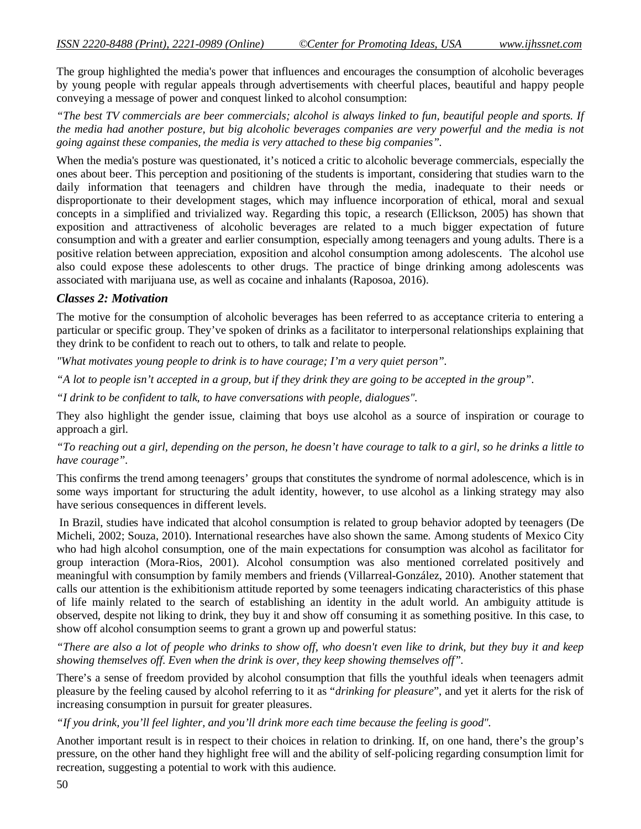The group highlighted the media's power that influences and encourages the consumption of alcoholic beverages by young people with regular appeals through advertisements with cheerful places, beautiful and happy people conveying a message of power and conquest linked to alcohol consumption:

*"The best TV commercials are beer commercials; alcohol is always linked to fun, beautiful people and sports. If the media had another posture, but big alcoholic beverages companies are very powerful and the media is not going against these companies, the media is very attached to these big companies".*

When the media's posture was questionated, it's noticed a critic to alcoholic beverage commercials, especially the ones about beer. This perception and positioning of the students is important, considering that studies warn to the daily information that teenagers and children have through the media, inadequate to their needs or disproportionate to their development stages, which may influence incorporation of ethical, moral and sexual concepts in a simplified and trivialized way. Regarding this topic, a research (Ellickson, 2005) has shown that exposition and attractiveness of alcoholic beverages are related to a much bigger expectation of future consumption and with a greater and earlier consumption, especially among teenagers and young adults. There is a positive relation between appreciation, exposition and alcohol consumption among adolescents. The alcohol use also could expose these adolescents to other drugs. The practice of binge drinking among adolescents was associated with marijuana use, as well as cocaine and inhalants (Raposoa, 2016).

# *Classes 2: Motivation*

The motive for the consumption of alcoholic beverages has been referred to as acceptance criteria to entering a particular or specific group. They've spoken of drinks as a facilitator to interpersonal relationships explaining that they drink to be confident to reach out to others, to talk and relate to people.

*"What motivates young people to drink is to have courage; I'm a very quiet person".* 

*"A lot to people isn't accepted in a group, but if they drink they are going to be accepted in the group".*

*"I drink to be confident to talk, to have conversations with people, dialogues".*

They also highlight the gender issue, claiming that boys use alcohol as a source of inspiration or courage to approach a girl.

*"To reaching out a girl, depending on the person, he doesn't have courage to talk to a girl, so he drinks a little to have courage".*

This confirms the trend among teenagers' groups that constitutes the syndrome of normal adolescence, which is in some ways important for structuring the adult identity, however, to use alcohol as a linking strategy may also have serious consequences in different levels.

In Brazil, studies have indicated that alcohol consumption is related to group behavior adopted by teenagers (De Micheli, 2002; Souza, 2010). International researches have also shown the same. Among students of Mexico City who had high alcohol consumption, one of the main expectations for consumption was alcohol as facilitator for group interaction (Mora-Rios, 2001). Alcohol consumption was also mentioned correlated positively and meaningful with consumption by family members and friends (Villarreal-González, 2010). Another statement that calls our attention is the exhibitionism attitude reported by some teenagers indicating characteristics of this phase of life mainly related to the search of establishing an identity in the adult world. An ambiguity attitude is observed, despite not liking to drink, they buy it and show off consuming it as something positive. In this case, to show off alcohol consumption seems to grant a grown up and powerful status:

*"There are also a lot of people who drinks to show off, who doesn't even like to drink, but they buy it and keep showing themselves off. Even when the drink is over, they keep showing themselves off".*

There's a sense of freedom provided by alcohol consumption that fills the youthful ideals when teenagers admit pleasure by the feeling caused by alcohol referring to it as "*drinking for pleasure*", and yet it alerts for the risk of increasing consumption in pursuit for greater pleasures.

*"If you drink, you'll feel lighter, and you'll drink more each time because the feeling is good".* 

Another important result is in respect to their choices in relation to drinking. If, on one hand, there's the group's pressure, on the other hand they highlight free will and the ability of self-policing regarding consumption limit for recreation, suggesting a potential to work with this audience.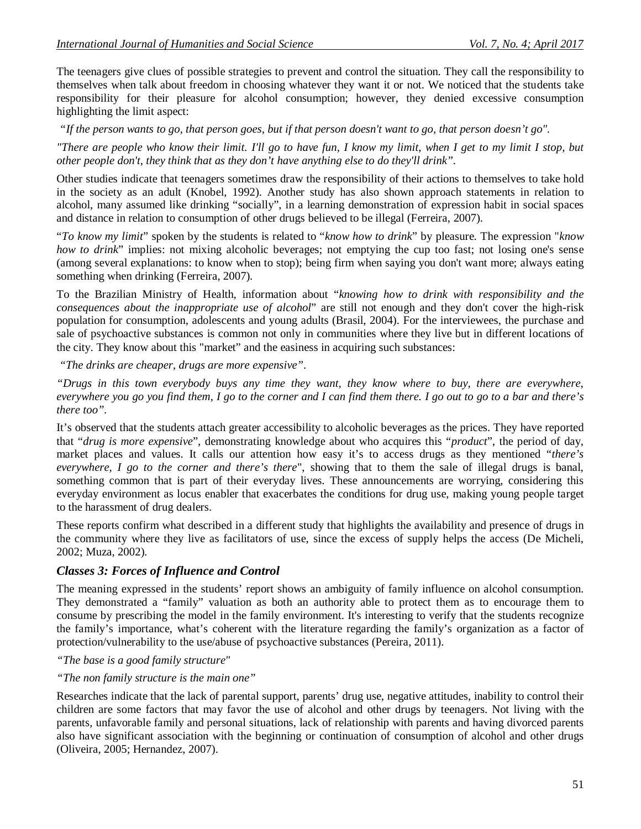The teenagers give clues of possible strategies to prevent and control the situation. They call the responsibility to themselves when talk about freedom in choosing whatever they want it or not. We noticed that the students take responsibility for their pleasure for alcohol consumption; however, they denied excessive consumption highlighting the limit aspect:

*"If the person wants to go, that person goes, but if that person doesn't want to go, that person doesn't go".*

*"There are people who know their limit. I'll go to have fun, I know my limit, when I get to my limit I stop, but other people don't, they think that as they don't have anything else to do they'll drink".*

Other studies indicate that teenagers sometimes draw the responsibility of their actions to themselves to take hold in the society as an adult (Knobel, 1992). Another study has also shown approach statements in relation to alcohol, many assumed like drinking "socially", in a learning demonstration of expression habit in social spaces and distance in relation to consumption of other drugs believed to be illegal (Ferreira, 2007).

"*To know my limit*" spoken by the students is related to "*know how to drink*" by pleasure. The expression "*know how to drink*" implies: not mixing alcoholic beverages; not emptying the cup too fast; not losing one's sense (among several explanations: to know when to stop); being firm when saying you don't want more; always eating something when drinking (Ferreira, 2007).

To the Brazilian Ministry of Health, information about "*knowing how to drink with responsibility and the consequences about the inappropriate use of alcohol*" are still not enough and they don't cover the high-risk population for consumption, adolescents and young adults (Brasil, 2004). For the interviewees, the purchase and sale of psychoactive substances is common not only in communities where they live but in different locations of the city. They know about this "market" and the easiness in acquiring such substances:

*"The drinks are cheaper, drugs are more expensive".*

*"Drugs in this town everybody buys any time they want, they know where to buy, there are everywhere, everywhere you go you find them, I go to the corner and I can find them there. I go out to go to a bar and there's there too".*

It's observed that the students attach greater accessibility to alcoholic beverages as the prices. They have reported that "*drug is more expensive*", demonstrating knowledge about who acquires this "*product*", the period of day, market places and values. It calls our attention how easy it's to access drugs as they mentioned "*there's everywhere, I go to the corner and there's there*", showing that to them the sale of illegal drugs is banal, something common that is part of their everyday lives. These announcements are worrying, considering this everyday environment as locus enabler that exacerbates the conditions for drug use, making young people target to the harassment of drug dealers.

These reports confirm what described in a different study that highlights the availability and presence of drugs in the community where they live as facilitators of use, since the excess of supply helps the access (De Micheli, 2002; Muza, 2002).

# *Classes 3: Forces of Influence and Control*

The meaning expressed in the students' report shows an ambiguity of family influence on alcohol consumption. They demonstrated a "family" valuation as both an authority able to protect them as to encourage them to consume by prescribing the model in the family environment. It's interesting to verify that the students recognize the family's importance, what's coherent with the literature regarding the family's organization as a factor of protection/vulnerability to the use/abuse of psychoactive substances (Pereira, 2011).

*"The base is a good family structure"*

*"The non family structure is the main one"*

Researches indicate that the lack of parental support, parents' drug use, negative attitudes, inability to control their children are some factors that may favor the use of alcohol and other drugs by teenagers. Not living with the parents, unfavorable family and personal situations, lack of relationship with parents and having divorced parents also have significant association with the beginning or continuation of consumption of alcohol and other drugs (Oliveira, 2005; Hernandez, 2007).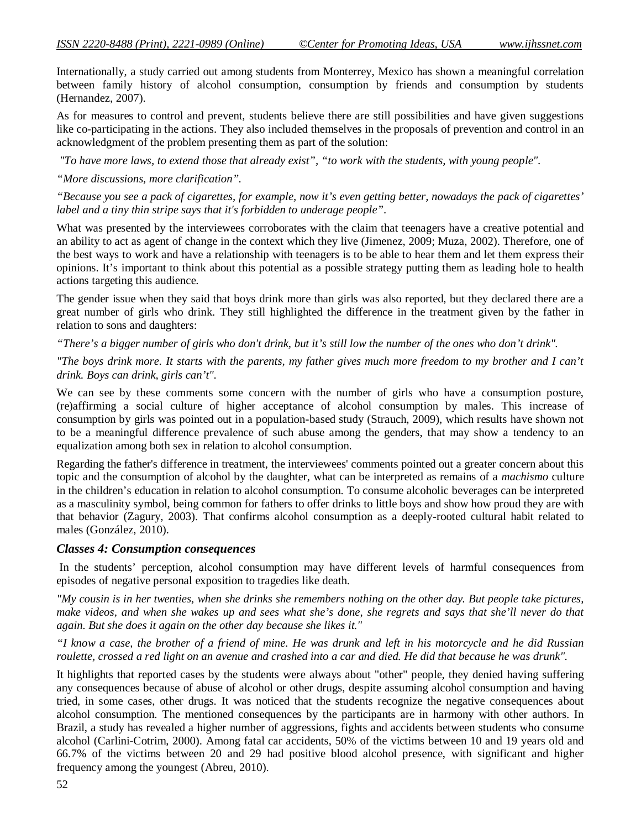Internationally, a study carried out among students from Monterrey, Mexico has shown a meaningful correlation between family history of alcohol consumption, consumption by friends and consumption by students (Hernandez, 2007).

As for measures to control and prevent, students believe there are still possibilities and have given suggestions like co-participating in the actions. They also included themselves in the proposals of prevention and control in an acknowledgment of the problem presenting them as part of the solution:

*"To have more laws, to extend those that already exist", "to work with the students, with young people".* 

*"More discussions, more clarification".*

*"Because you see a pack of cigarettes, for example, now it's even getting better, nowadays the pack of cigarettes' label and a tiny thin stripe says that it's forbidden to underage people".*

What was presented by the interviewees corroborates with the claim that teenagers have a creative potential and an ability to act as agent of change in the context which they live (Jimenez, 2009; Muza, 2002). Therefore, one of the best ways to work and have a relationship with teenagers is to be able to hear them and let them express their opinions. It's important to think about this potential as a possible strategy putting them as leading hole to health actions targeting this audience.

The gender issue when they said that boys drink more than girls was also reported, but they declared there are a great number of girls who drink. They still highlighted the difference in the treatment given by the father in relation to sons and daughters:

*"There's a bigger number of girls who don't drink, but it's still low the number of the ones who don't drink".* 

*"The boys drink more. It starts with the parents, my father gives much more freedom to my brother and I can't drink. Boys can drink, girls can't".*

We can see by these comments some concern with the number of girls who have a consumption posture, (re)affirming a social culture of higher acceptance of alcohol consumption by males. This increase of consumption by girls was pointed out in a population-based study (Strauch, 2009), which results have shown not to be a meaningful difference prevalence of such abuse among the genders, that may show a tendency to an equalization among both sex in relation to alcohol consumption.

Regarding the father's difference in treatment, the interviewees' comments pointed out a greater concern about this topic and the consumption of alcohol by the daughter, what can be interpreted as remains of a *machismo* culture in the children's education in relation to alcohol consumption. To consume alcoholic beverages can be interpreted as a masculinity symbol, being common for fathers to offer drinks to little boys and show how proud they are with that behavior (Zagury, 2003). That confirms alcohol consumption as a deeply-rooted cultural habit related to males (González, 2010).

### *Classes 4: Consumption consequences*

In the students' perception, alcohol consumption may have different levels of harmful consequences from episodes of negative personal exposition to tragedies like death.

*"My cousin is in her twenties, when she drinks she remembers nothing on the other day. But people take pictures, make videos, and when she wakes up and sees what she's done, she regrets and says that she'll never do that again. But she does it again on the other day because she likes it."* 

*"I know a case, the brother of a friend of mine. He was drunk and left in his motorcycle and he did Russian*  roulette, crossed a red light on an avenue and crashed into a car and died. He did that because he was drunk".

It highlights that reported cases by the students were always about "other" people, they denied having suffering any consequences because of abuse of alcohol or other drugs, despite assuming alcohol consumption and having tried, in some cases, other drugs. It was noticed that the students recognize the negative consequences about alcohol consumption. The mentioned consequences by the participants are in harmony with other authors. In Brazil, a study has revealed a higher number of aggressions, fights and accidents between students who consume alcohol (Carlini-Cotrim, 2000). Among fatal car accidents, 50% of the victims between 10 and 19 years old and 66.7% of the victims between 20 and 29 had positive blood alcohol presence, with significant and higher frequency among the youngest (Abreu, 2010).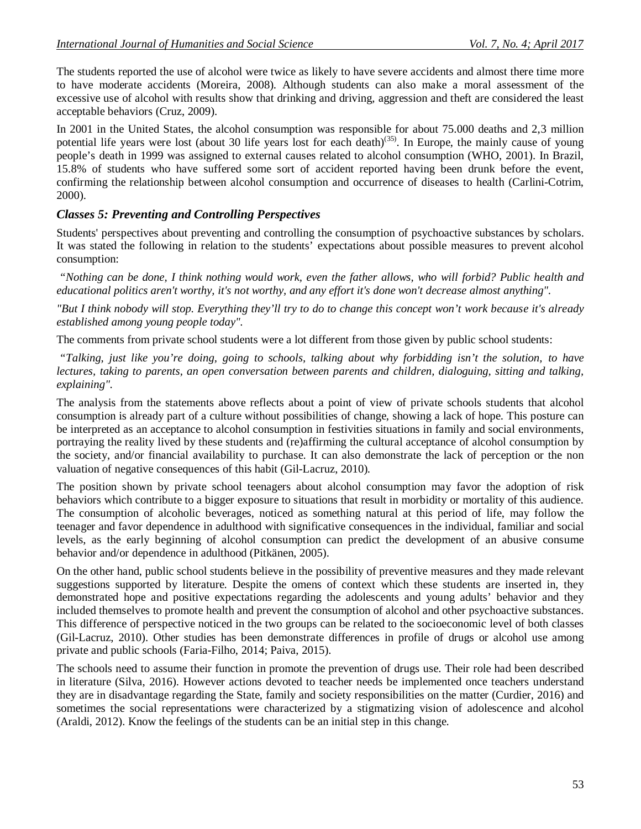The students reported the use of alcohol were twice as likely to have severe accidents and almost there time more to have moderate accidents (Moreira, 2008). Although students can also make a moral assessment of the excessive use of alcohol with results show that drinking and driving, aggression and theft are considered the least acceptable behaviors (Cruz, 2009).

In 2001 in the United States, the alcohol consumption was responsible for about 75.000 deaths and 2,3 million potential life years were lost (about 30 life years lost for each death)<sup>(35)</sup>. In Europe, the mainly cause of young people's death in 1999 was assigned to external causes related to alcohol consumption (WHO, 2001). In Brazil, 15.8% of students who have suffered some sort of accident reported having been drunk before the event, confirming the relationship between alcohol consumption and occurrence of diseases to health (Carlini-Cotrim, 2000).

# *Classes 5: Preventing and Controlling Perspectives*

Students' perspectives about preventing and controlling the consumption of psychoactive substances by scholars. It was stated the following in relation to the students' expectations about possible measures to prevent alcohol consumption:

*"Nothing can be done, I think nothing would work, even the father allows, who will forbid? Public health and educational politics aren't worthy, it's not worthy, and any effort it's done won't decrease almost anything".*

*"But I think nobody will stop. Everything they'll try to do to change this concept won't work because it's already established among young people today".*

The comments from private school students were a lot different from those given by public school students:

*"Talking, just like you're doing, going to schools, talking about why forbidding isn't the solution, to have lectures, taking to parents, an open conversation between parents and children, dialoguing, sitting and talking, explaining".* 

The analysis from the statements above reflects about a point of view of private schools students that alcohol consumption is already part of a culture without possibilities of change, showing a lack of hope. This posture can be interpreted as an acceptance to alcohol consumption in festivities situations in family and social environments, portraying the reality lived by these students and (re)affirming the cultural acceptance of alcohol consumption by the society, and/or financial availability to purchase. It can also demonstrate the lack of perception or the non valuation of negative consequences of this habit (Gil-Lacruz, 2010).

The position shown by private school teenagers about alcohol consumption may favor the adoption of risk behaviors which contribute to a bigger exposure to situations that result in morbidity or mortality of this audience. The consumption of alcoholic beverages, noticed as something natural at this period of life, may follow the teenager and favor dependence in adulthood with significative consequences in the individual, familiar and social levels, as the early beginning of alcohol consumption can predict the development of an abusive consume behavior and/or dependence in adulthood (Pitkänen, 2005).

On the other hand, public school students believe in the possibility of preventive measures and they made relevant suggestions supported by literature. Despite the omens of context which these students are inserted in, they demonstrated hope and positive expectations regarding the adolescents and young adults' behavior and they included themselves to promote health and prevent the consumption of alcohol and other psychoactive substances. This difference of perspective noticed in the two groups can be related to the socioeconomic level of both classes (Gil-Lacruz, 2010). Other studies has been demonstrate differences in profile of drugs or alcohol use among private and public schools (Faria-Filho, 2014; Paiva, 2015).

The schools need to assume their function in promote the prevention of drugs use. Their role had been described in literature (Silva, 2016). However actions devoted to teacher needs be implemented once teachers understand they are in disadvantage regarding the State, family and society responsibilities on the matter (Curdier, 2016) and sometimes the social representations were characterized by a stigmatizing vision of adolescence and alcohol (Araldi, 2012). Know the feelings of the students can be an initial step in this change.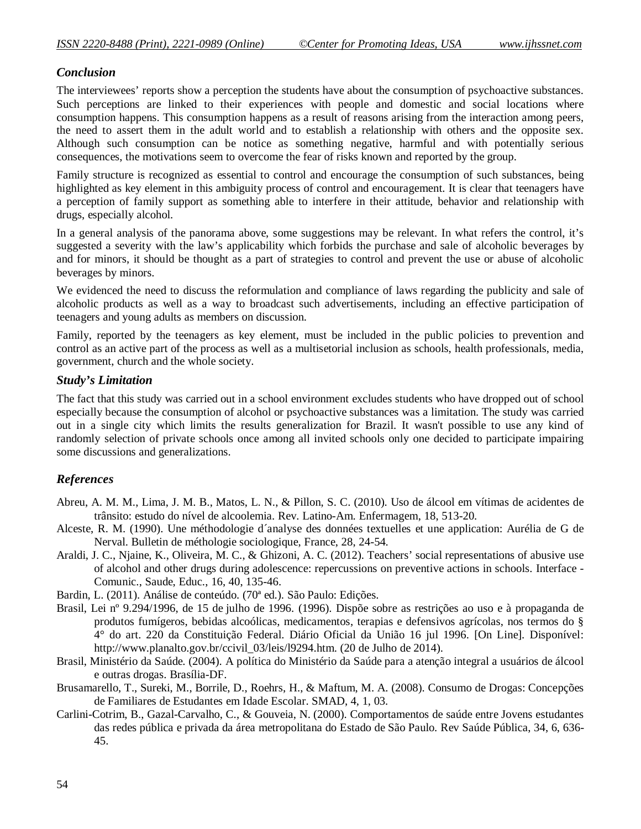# *Conclusion*

The interviewees' reports show a perception the students have about the consumption of psychoactive substances. Such perceptions are linked to their experiences with people and domestic and social locations where consumption happens. This consumption happens as a result of reasons arising from the interaction among peers, the need to assert them in the adult world and to establish a relationship with others and the opposite sex. Although such consumption can be notice as something negative, harmful and with potentially serious consequences, the motivations seem to overcome the fear of risks known and reported by the group.

Family structure is recognized as essential to control and encourage the consumption of such substances, being highlighted as key element in this ambiguity process of control and encouragement. It is clear that teenagers have a perception of family support as something able to interfere in their attitude, behavior and relationship with drugs, especially alcohol.

In a general analysis of the panorama above, some suggestions may be relevant. In what refers the control, it's suggested a severity with the law's applicability which forbids the purchase and sale of alcoholic beverages by and for minors, it should be thought as a part of strategies to control and prevent the use or abuse of alcoholic beverages by minors.

We evidenced the need to discuss the reformulation and compliance of laws regarding the publicity and sale of alcoholic products as well as a way to broadcast such advertisements, including an effective participation of teenagers and young adults as members on discussion.

Family, reported by the teenagers as key element, must be included in the public policies to prevention and control as an active part of the process as well as a multisetorial inclusion as schools, health professionals, media, government, church and the whole society.

### *Study's Limitation*

The fact that this study was carried out in a school environment excludes students who have dropped out of school especially because the consumption of alcohol or psychoactive substances was a limitation. The study was carried out in a single city which limits the results generalization for Brazil. It wasn't possible to use any kind of randomly selection of private schools once among all invited schools only one decided to participate impairing some discussions and generalizations.

### *References*

- Abreu, A. M. M., Lima, J. M. B., Matos, L. N., & Pillon, S. C. (2010). Uso de álcool em vítimas de acidentes de trânsito: estudo do nível de alcoolemia. Rev. Latino-Am. Enfermagem, 18, 513-20.
- Alceste, R. M. (1990). Une méthodologie d´analyse des données textuelles et une application: Aurélia de G de Nerval. Bulletin de méthologie sociologique, France, 28, 24-54.
- Araldi, J. C., Njaine, K., Oliveira, M. C., & Ghizoni, A. C. (2012). Teachers' social representations of abusive use of alcohol and other drugs during adolescence: repercussions on preventive actions in schools. Interface - Comunic., Saude, Educ., 16, 40, 135-46.
- Bardin, L. (2011). Análise de conteúdo. (70ª ed.). São Paulo: Edições.
- Brasil, Lei nº 9.294/1996, de 15 de julho de 1996. (1996). Dispõe sobre as restrições ao uso e à propaganda de produtos fumígeros, bebidas alcoólicas, medicamentos, terapias e defensivos agrícolas, nos termos do § 4° do art. 220 da Constituição Federal. Diário Oficial da União 16 jul 1996. [On Line]. Disponível: http://www.planalto.gov.br/ccivil\_03/leis/l9294.htm. (20 de Julho de 2014).
- Brasil, Ministério da Saúde. (2004). A política do Ministério da Saúde para a atenção integral a usuários de álcool e outras drogas. Brasília-DF.
- Brusamarello, T., Sureki, M., Borrile, D., Roehrs, H., & Maftum, M. A. (2008). Consumo de Drogas: Concepções de Familiares de Estudantes em Idade Escolar. SMAD, 4, 1, 03.
- Carlini-Cotrim, B., Gazal-Carvalho, C., & Gouveia, N. (2000). Comportamentos de saúde entre Jovens estudantes das redes pública e privada da área metropolitana do Estado de São Paulo. Rev Saúde Pública, 34, 6, 636- 45.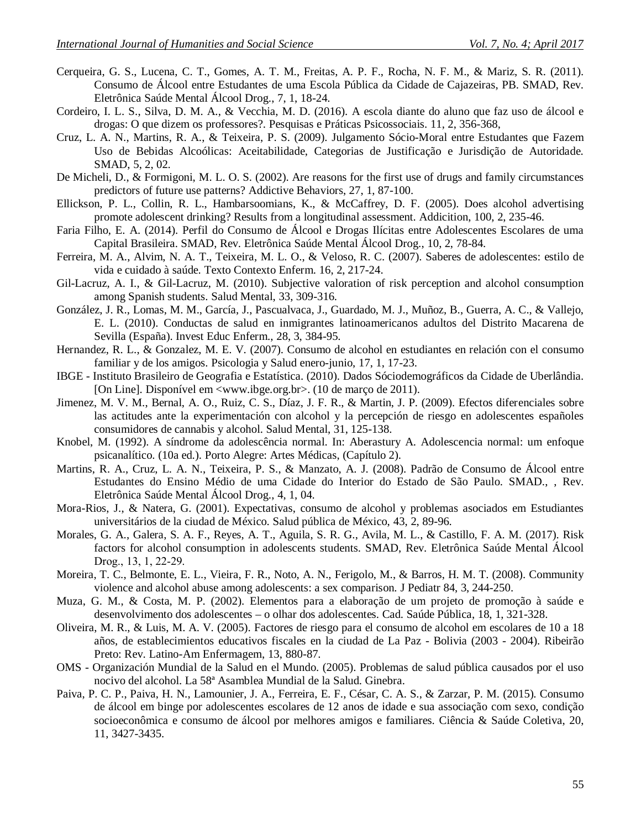- Cerqueira, G. S., Lucena, C. T., Gomes, A. T. M., Freitas, A. P. F., Rocha, N. F. M., & Mariz, S. R. (2011). Consumo de Álcool entre Estudantes de uma Escola Pública da Cidade de Cajazeiras, PB. SMAD, Rev. Eletrônica Saúde Mental Álcool Drog., 7, 1, 18-24.
- Cordeiro, I. L. S., Silva, D. M. A., & Vecchia, M. D. (2016). A escola diante do aluno que faz uso de álcool e drogas: O que dizem os professores?. Pesquisas e Práticas Psicossociais. 11, 2, 356-368,
- Cruz, L. A. N., Martins, R. A., & Teixeira, P. S. (2009). Julgamento Sócio-Moral entre Estudantes que Fazem Uso de Bebidas Alcoólicas: Aceitabilidade, Categorias de Justificação e Jurisdição de Autoridade. SMAD, 5, 2, 02.
- De Micheli, D., & Formigoni, M. L. O. S. (2002). Are reasons for the first use of drugs and family circumstances predictors of future use patterns? Addictive Behaviors, 27, 1, 87-100.
- Ellickson, P. L., Collin, R. L., Hambarsoomians, K., & McCaffrey, D. F. (2005). Does alcohol advertising promote adolescent drinking? Results from a longitudinal assessment. Addicition, 100, 2, 235-46.
- Faria Filho, E. A. (2014). Perfil do Consumo de Álcool e Drogas Ilícitas entre Adolescentes Escolares de uma Capital Brasileira. SMAD, Rev. Eletrônica Saúde Mental Álcool Drog., 10, 2, 78-84.
- Ferreira, M. A., Alvim, N. A. T., Teixeira, M. L. O., & Veloso, R. C. (2007). Saberes de adolescentes: estilo de vida e cuidado à saúde. Texto Contexto Enferm. 16, 2, 217-24.
- Gil-Lacruz, A. I., & Gil-Lacruz, M. (2010). Subjective valoration of risk perception and alcohol consumption among Spanish students. Salud Mental, 33, 309-316.
- González, J. R., Lomas, M. M., García, J., Pascualvaca, J., Guardado, M. J., Muñoz, B., Guerra, A. C., & Vallejo, E. L. (2010). Conductas de salud en inmigrantes latinoamericanos adultos del Distrito Macarena de Sevilla (España). Invest Educ Enferm., 28, 3, 384-95.
- Hernandez, R. L., & Gonzalez, M. E. V. (2007). Consumo de alcohol en estudiantes en relación con el consumo familiar y de los amigos. Psicologia y Salud enero-junio, 17, 1, 17-23.
- IBGE Instituto Brasileiro de Geografia e Estatística. (2010). Dados Sóciodemográficos da Cidade de Uberlândia. [On Line]. Disponível em <www.ibge.org.br>. (10 de março de 2011).
- Jimenez, M. V. M., Bernal, A. O., Ruiz, C. S., Díaz, J. F. R., & Martin, J. P. (2009). Efectos diferenciales sobre las actitudes ante la experimentación con alcohol y la percepción de riesgo en adolescentes españoles consumidores de cannabis y alcohol. Salud Mental, 31, 125-138.
- Knobel, M. (1992). A síndrome da adolescência normal. In: Aberastury A. Adolescencia normal: um enfoque psicanalítico. (10a ed.). Porto Alegre: Artes Médicas, (Capítulo 2).
- Martins, R. A., Cruz, L. A. N., Teixeira, P. S., & Manzato, A. J. (2008). Padrão de Consumo de Álcool entre Estudantes do Ensino Médio de uma Cidade do Interior do Estado de São Paulo. SMAD., , Rev. Eletrônica Saúde Mental Álcool Drog., 4, 1, 04.
- Mora-Rios, J., & Natera, G. (2001). Expectativas, consumo de alcohol y problemas asociados em Estudiantes universitários de la ciudad de México. Salud pública de México, 43, 2, 89-96.
- Morales, G. A., Galera, S. A. F., Reyes, A. T., Aguila, S. R. G., Avila, M. L., & Castillo, F. A. M. (2017). Risk factors for alcohol consumption in adolescents students. SMAD, Rev. Eletrônica Saúde Mental Álcool Drog., 13, 1, 22-29.
- Moreira, T. C., Belmonte, E. L., Vieira, F. R., Noto, A. N., Ferigolo, M., & Barros, H. M. T. (2008). Community violence and alcohol abuse among adolescents: a sex comparison. J Pediatr 84, 3, 244-250.
- Muza, G. M., & Costa, M. P. (2002). Elementos para a elaboração de um projeto de promoção à saúde e desenvolvimento dos adolescentes – o olhar dos adolescentes. Cad. Saúde Pública, 18, 1, 321-328.
- Oliveira, M. R., & Luis, M. A. V. (2005). Factores de riesgo para el consumo de alcohol em escolares de 10 a 18 años, de establecimientos educativos fiscales en la ciudad de La Paz - Bolivia (2003 - 2004). Ribeirão Preto: Rev. Latino-Am Enfermagem, 13, 880-87.
- OMS Organización Mundial de la Salud en el Mundo. (2005). Problemas de salud pública causados por el uso nocivo del alcohol. La 58ª Asamblea Mundial de la Salud. Ginebra.
- Paiva, P. C. P., Paiva, H. N., Lamounier, J. A., Ferreira, E. F., César, C. A. S., & Zarzar, P. M. (2015). Consumo de álcool em binge por adolescentes escolares de 12 anos de idade e sua associação com sexo, condição socioeconômica e consumo de álcool por melhores amigos e familiares. Ciência & Saúde Coletiva, 20, 11, 3427-3435.